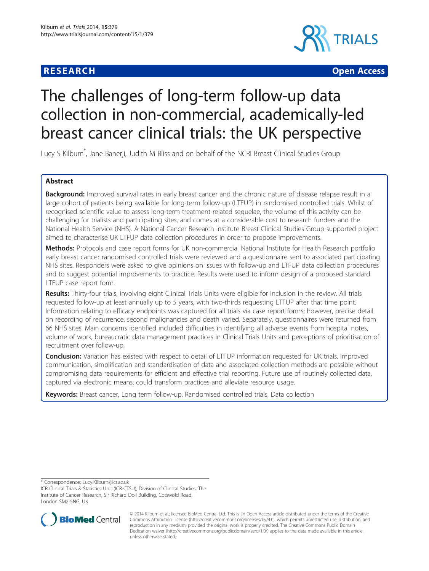



# The challenges of long-term follow-up data collection in non-commercial, academically-led breast cancer clinical trials: the UK perspective

Lucy S Kilburn\* , Jane Banerji, Judith M Bliss and on behalf of the NCRI Breast Clinical Studies Group

# Abstract

Background: Improved survival rates in early breast cancer and the chronic nature of disease relapse result in a large cohort of patients being available for long-term follow-up (LTFUP) in randomised controlled trials. Whilst of recognised scientific value to assess long-term treatment-related sequelae, the volume of this activity can be challenging for trialists and participating sites, and comes at a considerable cost to research funders and the National Health Service (NHS). A National Cancer Research Institute Breast Clinical Studies Group supported project aimed to characterise UK LTFUP data collection procedures in order to propose improvements.

Methods: Protocols and case report forms for UK non-commercial National Institute for Health Research portfolio early breast cancer randomised controlled trials were reviewed and a questionnaire sent to associated participating NHS sites. Responders were asked to give opinions on issues with follow-up and LTFUP data collection procedures and to suggest potential improvements to practice. Results were used to inform design of a proposed standard LTFUP case report form.

Results: Thirty-four trials, involving eight Clinical Trials Units were eligible for inclusion in the review. All trials requested follow-up at least annually up to 5 years, with two-thirds requesting LTFUP after that time point. Information relating to efficacy endpoints was captured for all trials via case report forms; however, precise detail on recording of recurrence, second malignancies and death varied. Separately, questionnaires were returned from 66 NHS sites. Main concerns identified included difficulties in identifying all adverse events from hospital notes, volume of work, bureaucratic data management practices in Clinical Trials Units and perceptions of prioritisation of recruitment over follow-up.

Conclusion: Variation has existed with respect to detail of LTFUP information requested for UK trials. Improved communication, simplification and standardisation of data and associated collection methods are possible without compromising data requirements for efficient and effective trial reporting. Future use of routinely collected data, captured via electronic means, could transform practices and alleviate resource usage.

Keywords: Breast cancer, Long term follow-up, Randomised controlled trials, Data collection

\* Correspondence: [Lucy.Kilburn@icr.ac.uk](mailto:Lucy.Kilburn@icr.ac.uk)

ICR Clinical Trials & Statistics Unit (ICR-CTSU), Division of Clinical Studies, The Institute of Cancer Research, Sir Richard Doll Building, Cotswold Road, London SM2 5NG, UK



© 2014 Kilburn et al.; licensee BioMed Central Ltd. This is an Open Access article distributed under the terms of the Creative Commons Attribution License [\(http://creativecommons.org/licenses/by/4.0\)](http://creativecommons.org/licenses/by/4.0), which permits unrestricted use, distribution, and reproduction in any medium, provided the original work is properly credited. The Creative Commons Public Domain Dedication waiver [\(http://creativecommons.org/publicdomain/zero/1.0/](http://creativecommons.org/publicdomain/zero/1.0/)) applies to the data made available in this article, unless otherwise stated.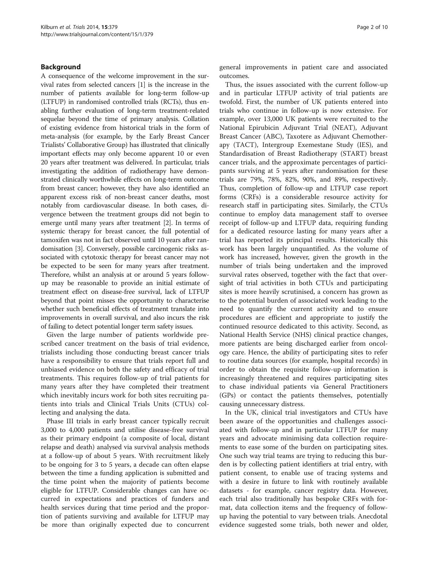# Background

A consequence of the welcome improvement in the survival rates from selected cancers [\[1\]](#page-9-0) is the increase in the number of patients available for long-term follow-up (LTFUP) in randomised controlled trials (RCTs), thus enabling further evaluation of long-term treatment-related sequelae beyond the time of primary analysis. Collation of existing evidence from historical trials in the form of meta-analysis (for example, by the Early Breast Cancer Trialists' Collaborative Group) has illustrated that clinically important effects may only become apparent 10 or even 20 years after treatment was delivered. In particular, trials investigating the addition of radiotherapy have demonstrated clinically worthwhile effects on long-term outcome from breast cancer; however, they have also identified an apparent excess risk of non-breast cancer deaths, most notably from cardiovascular disease. In both cases, divergence between the treatment groups did not begin to emerge until many years after treatment [[2\]](#page-9-0). In terms of systemic therapy for breast cancer, the full potential of tamoxifen was not in fact observed until 10 years after randomisation [\[3](#page-9-0)]. Conversely, possible carcinogenic risks associated with cytotoxic therapy for breast cancer may not be expected to be seen for many years after treatment. Therefore, whilst an analysis at or around 5 years followup may be reasonable to provide an initial estimate of treatment effect on disease-free survival, lack of LTFUP beyond that point misses the opportunity to characterise whether such beneficial effects of treatment translate into improvements in overall survival, and also incurs the risk of failing to detect potential longer term safety issues.

Given the large number of patients worldwide prescribed cancer treatment on the basis of trial evidence, trialists including those conducting breast cancer trials have a responsibility to ensure that trials report full and unbiased evidence on both the safety and efficacy of trial treatments. This requires follow-up of trial patients for many years after they have completed their treatment which inevitably incurs work for both sites recruiting patients into trials and Clinical Trials Units (CTUs) collecting and analysing the data.

Phase III trials in early breast cancer typically recruit 3,000 to 4,000 patients and utilise disease-free survival as their primary endpoint (a composite of local, distant relapse and death) analysed via survival analysis methods at a follow-up of about 5 years. With recruitment likely to be ongoing for 3 to 5 years, a decade can often elapse between the time a funding application is submitted and the time point when the majority of patients become eligible for LTFUP. Considerable changes can have occurred in expectations and practices of funders and health services during that time period and the proportion of patients surviving and available for LTFUP may be more than originally expected due to concurrent general improvements in patient care and associated outcomes.

Thus, the issues associated with the current follow-up and in particular LTFUP activity of trial patients are twofold. First, the number of UK patients entered into trials who continue in follow-up is now extensive. For example, over 13,000 UK patients were recruited to the National Epirubicin Adjuvant Trial (NEAT), Adjuvant Breast Cancer (ABC), Taxotere as Adjuvant Chemotherapy (TACT), Intergroup Exemestane Study (IES), and Standardisation of Breast Radiotherapy (START) breast cancer trials, and the approximate percentages of participants surviving at 5 years after randomisation for these trials are 79%, 78%, 82%, 90%, and 89%, respectively. Thus, completion of follow-up and LTFUP case report forms (CRFs) is a considerable resource activity for research staff in participating sites. Similarly, the CTUs continue to employ data management staff to oversee receipt of follow-up and LTFUP data, requiring funding for a dedicated resource lasting for many years after a trial has reported its principal results. Historically this work has been largely unquantified. As the volume of work has increased, however, given the growth in the number of trials being undertaken and the improved survival rates observed, together with the fact that oversight of trial activities in both CTUs and participating sites is more heavily scrutinised, a concern has grown as to the potential burden of associated work leading to the need to quantify the current activity and to ensure procedures are efficient and appropriate to justify the continued resource dedicated to this activity. Second, as National Health Service (NHS) clinical practice changes, more patients are being discharged earlier from oncology care. Hence, the ability of participating sites to refer to routine data sources (for example, hospital records) in order to obtain the requisite follow-up information is increasingly threatened and requires participating sites to chase individual patients via General Practitioners (GPs) or contact the patients themselves, potentially causing unnecessary distress.

In the UK, clinical trial investigators and CTUs have been aware of the opportunities and challenges associated with follow-up and in particular LTFUP for many years and advocate minimising data collection requirements to ease some of the burden on participating sites. One such way trial teams are trying to reducing this burden is by collecting patient identifiers at trial entry, with patient consent, to enable use of tracing systems and with a desire in future to link with routinely available datasets - for example, cancer registry data. However, each trial also traditionally has bespoke CRFs with format, data collection items and the frequency of followup having the potential to vary between trials. Anecdotal evidence suggested some trials, both newer and older,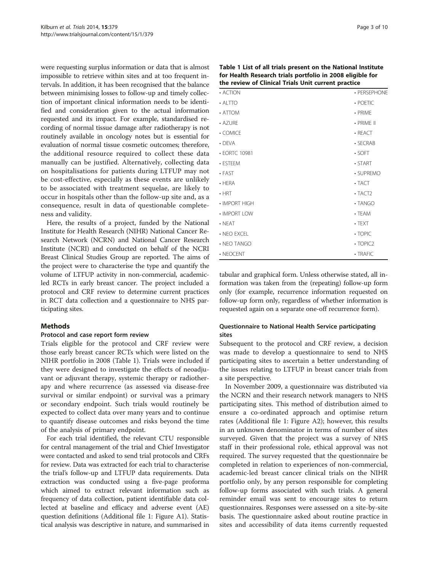were requesting surplus information or data that is almost impossible to retrieve within sites and at too frequent intervals. In addition, it has been recognised that the balance between minimising losses to follow-up and timely collection of important clinical information needs to be identified and consideration given to the actual information requested and its impact. For example, standardised recording of normal tissue damage after radiotherapy is not routinely available in oncology notes but is essential for evaluation of normal tissue cosmetic outcomes; therefore, the additional resource required to collect these data manually can be justified. Alternatively, collecting data on hospitalisations for patients during LTFUP may not be cost-effective, especially as these events are unlikely to be associated with treatment sequelae, are likely to occur in hospitals other than the follow-up site and, as a consequence, result in data of questionable completeness and validity.

Here, the results of a project, funded by the National Institute for Health Research (NIHR) National Cancer Research Network (NCRN) and National Cancer Research Institute (NCRI) and conducted on behalf of the NCRI Breast Clinical Studies Group are reported. The aims of the project were to characterise the type and quantify the volume of LTFUP activity in non-commercial, academicled RCTs in early breast cancer. The project included a protocol and CRF review to determine current practices in RCT data collection and a questionnaire to NHS participating sites.

# **Methods**

# Protocol and case report form review

Trials eligible for the protocol and CRF review were those early breast cancer RCTs which were listed on the NIHR portfolio in 2008 (Table 1). Trials were included if they were designed to investigate the effects of neoadjuvant or adjuvant therapy, systemic therapy or radiotherapy and where recurrence (as assessed via disease-free survival or similar endpoint) or survival was a primary or secondary endpoint. Such trials would routinely be expected to collect data over many years and to continue to quantify disease outcomes and risks beyond the time of the analysis of primary endpoint.

For each trial identified, the relevant CTU responsible for central management of the trial and Chief Investigator were contacted and asked to send trial protocols and CRFs for review. Data was extracted for each trial to characterise the trial's follow-up and LTFUP data requirements. Data extraction was conducted using a five-page proforma which aimed to extract relevant information such as frequency of data collection, patient identifiable data collected at baseline and efficacy and adverse event (AE) question definitions (Additional file [1](#page-9-0): Figure A1). Statistical analysis was descriptive in nature, and summarised in

| Page 3 of 10 |  |  |
|--------------|--|--|
|              |  |  |

| $\cdot$ ACTION    | • PERSEPHONE   |
|-------------------|----------------|
| $\cdot$ ALTTO     | $\cdot$ POETIC |
| $\cdot$ ATTOM     | · PRIME        |
| • AZURE           | · PRIME II     |
| $\cdot$ COMICE    | $\cdot$ REACT  |
| $\cdot$ DEVA      | $\cdot$ SECRAB |
| • EORTC 10981     | $\cdot$ SOFT   |
| • ESTEEM          | $\cdot$ START  |
| $\cdot$ FAST      | · SUPREMO      |
| $\cdot$ HERA      | $\cdot$ TACT   |
| $\cdot$ HRT       | $\cdot$ TACT2  |
| • IMPORT HIGH     | $\cdot$ TANGO  |
| • IMPORT LOW      | $\cdot$ TEAM   |
| $\cdot$ NEAT      | $\cdot$ TEXT   |
| $\cdot$ NEO EXCEL | $\cdot$ TOPIC  |
| • NEO TANGO       | $\cdot$ TOPIC2 |
| $\cdot$ NEOCENT   | $\cdot$ TRAFIC |

Table 1 List of all trials present on the National Institute for Health Research trials portfolio in 2008 eligible for the review of Clinical Trials Unit current practice

tabular and graphical form. Unless otherwise stated, all information was taken from the (repeating) follow-up form only (for example, recurrence information requested on follow-up form only, regardless of whether information is requested again on a separate one-off recurrence form).

# Questionnaire to National Health Service participating sites

Subsequent to the protocol and CRF review, a decision was made to develop a questionnaire to send to NHS participating sites to ascertain a better understanding of the issues relating to LTFUP in breast cancer trials from a site perspective.

In November 2009, a questionnaire was distributed via the NCRN and their research network managers to NHS participating sites. This method of distribution aimed to ensure a co-ordinated approach and optimise return rates (Additional file [1](#page-9-0): Figure A2); however, this results in an unknown denominator in terms of number of sites surveyed. Given that the project was a survey of NHS staff in their professional role, ethical approval was not required. The survey requested that the questionnaire be completed in relation to experiences of non-commercial, academic-led breast cancer clinical trials on the NIHR portfolio only, by any person responsible for completing follow-up forms associated with such trials. A general reminder email was sent to encourage sites to return questionnaires. Responses were assessed on a site-by-site basis. The questionnaire asked about routine practice in sites and accessibility of data items currently requested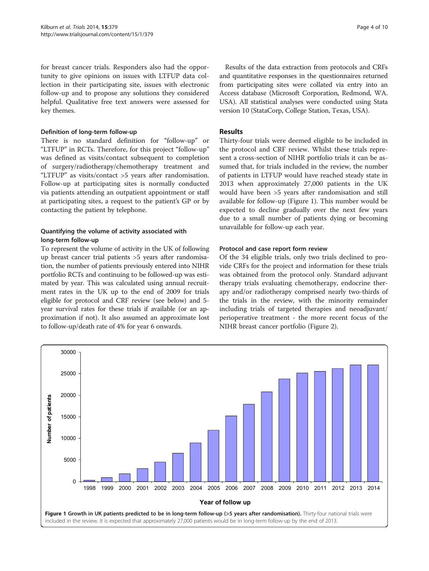for breast cancer trials. Responders also had the opportunity to give opinions on issues with LTFUP data collection in their participating site, issues with electronic follow-up and to propose any solutions they considered helpful. Qualitative free text answers were assessed for key themes.

# Definition of long-term follow-up

There is no standard definition for "follow-up" or "LTFUP" in RCTs. Therefore, for this project "follow-up" was defined as visits/contact subsequent to completion of surgery/radiotherapy/chemotherapy treatment and "LTFUP" as visits/contact >5 years after randomisation. Follow-up at participating sites is normally conducted via patients attending an outpatient appointment or staff at participating sites, a request to the patient's GP or by contacting the patient by telephone.

# Quantifying the volume of activity associated with long-term follow-up

To represent the volume of activity in the UK of following up breast cancer trial patients >5 years after randomisation, the number of patients previously entered into NIHR portfolio RCTs and continuing to be followed-up was estimated by year. This was calculated using annual recruitment rates in the UK up to the end of 2009 for trials eligible for protocol and CRF review (see below) and 5 year survival rates for these trials if available (or an approximation if not). It also assumed an approximate lost to follow-up/death rate of 4% for year 6 onwards.

Results of the data extraction from protocols and CRFs and quantitative responses in the questionnaires returned from participating sites were collated via entry into an Access database (Microsoft Corporation, Redmond, WA. USA). All statistical analyses were conducted using Stata version 10 (StataCorp, College Station, Texas, USA).

# Results

Thirty-four trials were deemed eligible to be included in the protocol and CRF review. Whilst these trials represent a cross-section of NIHR portfolio trials it can be assumed that, for trials included in the review, the number of patients in LTFUP would have reached steady state in 2013 when approximately 27,000 patients in the UK would have been >5 years after randomisation and still available for follow-up (Figure 1). This number would be expected to decline gradually over the next few years due to a small number of patients dying or becoming unavailable for follow-up each year.

# Protocol and case report form review

Of the 34 eligible trials, only two trials declined to provide CRFs for the project and information for these trials was obtained from the protocol only. Standard adjuvant therapy trials evaluating chemotherapy, endocrine therapy and/or radiotherapy comprised nearly two-thirds of the trials in the review, with the minority remainder including trials of targeted therapies and neoadjuvant/ perioperative treatment - the more recent focus of the NIHR breast cancer portfolio (Figure [2](#page-4-0)).

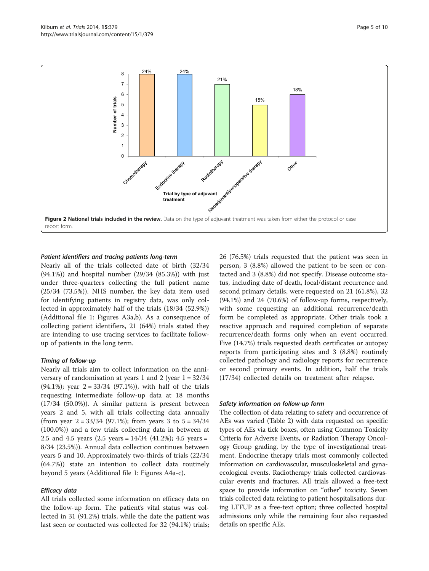<span id="page-4-0"></span>

## Patient identifiers and tracing patients long-term

Nearly all of the trials collected date of birth (32/34 (94.1%)) and hospital number (29/34 (85.3%)) with just under three-quarters collecting the full patient name (25/34 (73.5%)). NHS number, the key data item used for identifying patients in registry data, was only collected in approximately half of the trials (18/34 (52.9%)) (Additional file [1:](#page-9-0) Figures A3a,b). As a consequence of collecting patient identifiers, 21 (64%) trials stated they are intending to use tracing services to facilitate followup of patients in the long term.

## Timing of follow-up

Nearly all trials aim to collect information on the anniversary of randomisation at years 1 and 2 (year  $1 = 32/34$  $(94.1\%)$ ; year  $2 = 33/34$   $(97.1\%)$ , with half of the trials requesting intermediate follow-up data at 18 months (17/34 (50.0%)). A similar pattern is present between years 2 and 5, with all trials collecting data annually (from year  $2 = 33/34$  (97.1%); from years 3 to  $5 = 34/34$ (100.0%)) and a few trials collecting data in between at 2.5 and 4.5 years (2.5 years = 14/34 (41.2%); 4.5 years = 8/34 (23.5%)). Annual data collection continues between years 5 and 10. Approximately two-thirds of trials (22/34 (64.7%)) state an intention to collect data routinely beyond 5 years (Additional file [1](#page-9-0): Figures A4a-c).

## Efficacy data

All trials collected some information on efficacy data on the follow-up form. The patient's vital status was collected in 31 (91.2%) trials, while the date the patient was last seen or contacted was collected for 32 (94.1%) trials; 26 (76.5%) trials requested that the patient was seen in person, 3 (8.8%) allowed the patient to be seen or contacted and 3 (8.8%) did not specify. Disease outcome status, including date of death, local/distant recurrence and second primary details, were requested on 21 (61.8%), 32 (94.1%) and 24 (70.6%) of follow-up forms, respectively, with some requesting an additional recurrence/death form be completed as appropriate. Other trials took a reactive approach and required completion of separate recurrence/death forms only when an event occurred. Five (14.7%) trials requested death certificates or autopsy reports from participating sites and 3 (8.8%) routinely collected pathology and radiology reports for recurrence or second primary events. In addition, half the trials (17/34) collected details on treatment after relapse.

## Safety information on follow-up form

The collection of data relating to safety and occurrence of AEs was varied (Table [2](#page-5-0)) with data requested on specific types of AEs via tick boxes, often using Common Toxicity Criteria for Adverse Events, or Radiation Therapy Oncology Group grading, by the type of investigational treatment. Endocrine therapy trials most commonly collected information on cardiovascular, musculoskeletal and gynaecological events. Radiotherapy trials collected cardiovascular events and fractures. All trials allowed a free-text space to provide information on "other" toxicity. Seven trials collected data relating to patient hospitalisations during LTFUP as a free-text option; three collected hospital admissions only while the remaining four also requested details on specific AEs.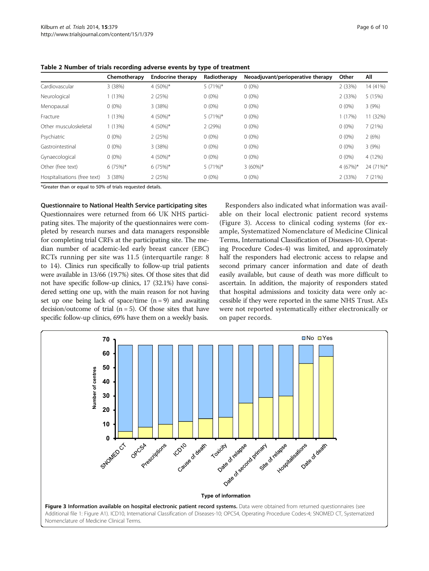<span id="page-5-0"></span>

|                              | -            |                          | . .          |                                   |             |           |
|------------------------------|--------------|--------------------------|--------------|-----------------------------------|-------------|-----------|
|                              | Chemotherapy | <b>Endocrine therapy</b> | Radiotherapy | Neoadjuvant/perioperative therapy | Other       | All       |
| Cardiovascular               | 3(38%)       | 4 (50%)*                 | $5(71\%)*$   | $0(0\%)$                          | 2 (33%)     | 14 (41%)  |
| Neurological                 | 1(13%)       | 2(25%)                   | $0(0\%)$     | $0(0\%)$                          | 2 (33%)     | 5 (15%)   |
| Menopausal                   | $0(0\%)$     | 3(38%)                   | $0(0\%)$     | $0(0\%)$                          | $0(0\%)$    | 3(9%)     |
| Fracture                     | 1(13%)       | 4 (50%)*                 | $5(71\%)*$   | $0(0\%)$                          | 1(17%)      | 11 (32%)  |
| Other musculoskeletal        | 1(13%)       | 4 (50%)*                 | 2(29%)       | $0(0\%)$                          | $0(0\%)$    | 7(21%)    |
| Psychiatric                  | $0(0\%)$     | 2(25%)                   | $0(0\%)$     | $0(0\%)$                          | $0(0\%)$    | 2(6%)     |
| Gastrointestinal             | $0(0\%)$     | 3 (38%)                  | $0(0\%)$     | $0(0\%)$                          | $0(0\%)$    | 3(9%)     |
| Gynaecological               | $0(0\%)$     | 4 (50%)*                 | $0(0\%)$     | $0(0\%)$                          | $0(0\%)$    | 4 (12%)   |
| Other (free text)            | $6(75%)$ *   | $6(75%)$ *               | $5(71\%)*$   | $3(60\%)*$                        | 4 $(67%)$ * | 24 (71%)* |
| Hospitalisations (free text) | 3 (38%)      | 2(25%)                   | $0(0\%)$     | $0(0\%)$                          | 2 (33%)     | 7(21%)    |

\*Greater than or equal to 50% of trials requested details.

Questionnaire to National Health Service participating sites

Questionnaires were returned from 66 UK NHS participating sites. The majority of the questionnaires were completed by research nurses and data managers responsible for completing trial CRFs at the participating site. The median number of academic-led early breast cancer (EBC) RCTs running per site was 11.5 (interquartile range: 8 to 14). Clinics run specifically to follow-up trial patients were available in 13/66 (19.7%) sites. Of those sites that did not have specific follow-up clinics, 17 (32.1%) have considered setting one up, with the main reason for not having set up one being lack of space/time  $(n = 9)$  and awaiting decision/outcome of trial  $(n = 5)$ . Of those sites that have specific follow-up clinics, 69% have them on a weekly basis.

Responders also indicated what information was available on their local electronic patient record systems (Figure 3). Access to clinical coding systems (for example, Systematized Nomenclature of Medicine Clinical Terms, International Classification of Diseases-10, Operating Procedure Codes-4) was limited, and approximately half the responders had electronic access to relapse and second primary cancer information and date of death easily available, but cause of death was more difficult to ascertain. In addition, the majority of responders stated that hospital admissions and toxicity data were only accessible if they were reported in the same NHS Trust. AEs were not reported systematically either electronically or on paper records.

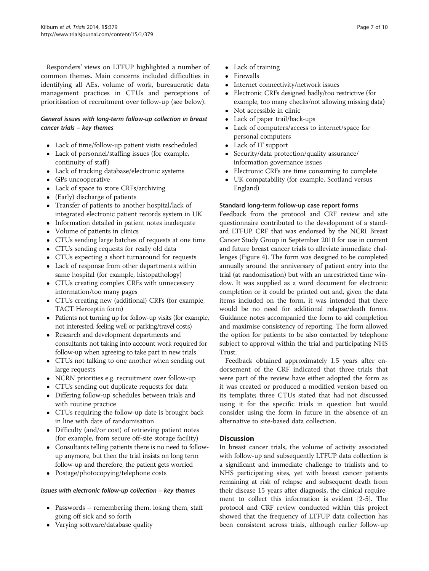Responders' views on LTFUP highlighted a number of common themes. Main concerns included difficulties in identifying all AEs, volume of work, bureaucratic data management practices in CTUs and perceptions of prioritisation of recruitment over follow-up (see below).

# General issues with long-term follow-up collection in breast cancer trials – key themes

- Lack of time/follow-up patient visits rescheduled
- Lack of personnel/staffing issues (for example, continuity of staff)
- Lack of tracking database/electronic systems
- GPs uncooperative
- Lack of space to store CRFs/archiving
- (Early) discharge of patients
- Transfer of patients to another hospital/lack of integrated electronic patient records system in UK
- Information detailed in patient notes inadequate
- Volume of patients in clinics
- CTUs sending large batches of requests at one time
- CTUs sending requests for really old data
- CTUs expecting a short turnaround for requests
- Lack of response from other departments within same hospital (for example, histopathology)
- CTUs creating complex CRFs with unnecessary information/too many pages
- CTUs creating new (additional) CRFs (for example, TACT Herceptin form)
- Patients not turning up for follow-up visits (for example, not interested, feeling well or parking/travel costs)
- Research and development departments and consultants not taking into account work required for follow-up when agreeing to take part in new trials
- CTUs not talking to one another when sending out large requests
- NCRN priorities e.g. recruitment over follow-up
- CTUs sending out duplicate requests for data
- Differing follow-up schedules between trials and with routine practice
- CTUs requiring the follow-up date is brought back in line with date of randomisation
- Difficulty (and/or cost) of retrieving patient notes (for example, from secure off-site storage facility)
- Consultants telling patients there is no need to followup anymore, but then the trial insists on long term follow-up and therefore, the patient gets worried
- Postage/photocopying/telephone costs

# Issues with electronic follow-up collection – key themes

- Passwords remembering them, losing them, staff going off sick and so forth
- Varying software/database quality
- Lack of training
- Firewalls
- Internet connectivity/network issues
- Electronic CRFs designed badly/too restrictive (for example, too many checks/not allowing missing data)
- Not accessible in clinic<br>• Lack of paper trail/back
- Lack of paper trail/back-ups<br>• Lack of computers/access to
- Lack of computers/access to internet/space for personal computers
- Lack of IT support<br>• Security/data prote
- Security/data protection/quality assurance/ information governance issues
- Electronic CRFs are time consuming to complete
- UK compatability (for example, Scotland versus England)

# Standard long-term follow-up case report forms

Feedback from the protocol and CRF review and site questionnaire contributed to the development of a standard LTFUP CRF that was endorsed by the NCRI Breast Cancer Study Group in September 2010 for use in current and future breast cancer trials to alleviate immediate challenges (Figure [4](#page-7-0)). The form was designed to be completed annually around the anniversary of patient entry into the trial (at randomisation) but with an unrestricted time window. It was supplied as a word document for electronic completion or it could be printed out and, given the data items included on the form, it was intended that there would be no need for additional relapse/death forms. Guidance notes accompanied the form to aid completion and maximise consistency of reporting. The form allowed the option for patients to be also contacted by telephone subject to approval within the trial and participating NHS Trust.

Feedback obtained approximately 1.5 years after endorsement of the CRF indicated that three trials that were part of the review have either adopted the form as it was created or produced a modified version based on its template; three CTUs stated that had not discussed using it for the specific trials in question but would consider using the form in future in the absence of an alternative to site-based data collection.

# **Discussion**

In breast cancer trials, the volume of activity associated with follow-up and subsequently LTFUP data collection is a significant and immediate challenge to trialists and to NHS participating sites, yet with breast cancer patients remaining at risk of relapse and subsequent death from their disease 15 years after diagnosis, the clinical requirement to collect this information is evident [[2-5\]](#page-9-0). The protocol and CRF review conducted within this project showed that the frequency of LTFUP data collection has been consistent across trials, although earlier follow-up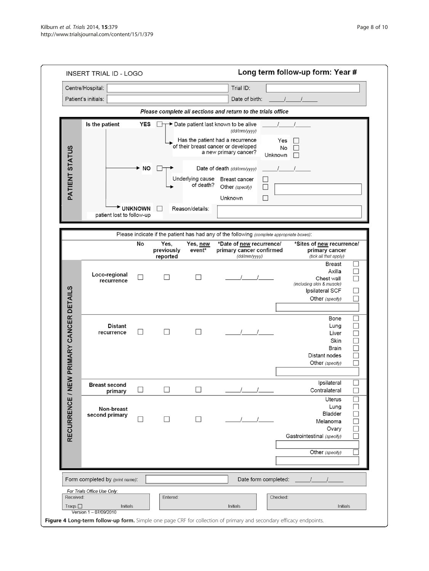<span id="page-7-0"></span>

|                              | <b>INSERT TRIAL ID - LOGO</b>   |                             |                                |                               |                                                                         | Long term follow-up form: Year #                                                          |
|------------------------------|---------------------------------|-----------------------------|--------------------------------|-------------------------------|-------------------------------------------------------------------------|-------------------------------------------------------------------------------------------|
|                              | Centre/Hospital:                |                             |                                |                               | Trial ID:                                                               |                                                                                           |
|                              | Patient's initials:             |                             |                                |                               | Date of birth:                                                          |                                                                                           |
|                              |                                 |                             |                                |                               | Please complete all sections and return to the trials office            |                                                                                           |
|                              | Is the patient                  | <b>YES</b>                  | l t                            |                               | Date patient last known to be alive<br>(dd/mm/yyyy)                     |                                                                                           |
|                              |                                 |                             |                                |                               | Has the patient had a recurrence<br>of their breast cancer or developed | Yes<br>No                                                                                 |
|                              |                                 |                             |                                |                               | a new primary cancer?                                                   | Unknown                                                                                   |
|                              |                                 | $\rightarrow$ NO            |                                |                               | Date of death (dd/mm/yyyy)                                              |                                                                                           |
| PATIENT STATUS               |                                 |                             |                                | Underlying cause<br>of death? | <b>Breast cancer</b><br>Other (specify)                                 | □                                                                                         |
|                              |                                 |                             |                                |                               | Unknown                                                                 | $\Box$                                                                                    |
|                              |                                 | <b>DINKNOWN</b>             | П                              | Reason/details:               |                                                                         |                                                                                           |
|                              | patient lost to follow-up       |                             |                                |                               |                                                                         |                                                                                           |
|                              |                                 |                             |                                |                               |                                                                         | Please indicate if the patient has had any of the following (complete appropriate boxes): |
|                              |                                 | No                          | Yes,<br>previously<br>reported | Yes, new<br>event*            | *Date of new recurrence/<br>primary cancer confirmed<br>(dd/mm/yyyy)    | *Sites of new recurrence/<br>primary cancer<br>(tick all that apply)                      |
|                              |                                 |                             |                                |                               |                                                                         | <b>Breast</b><br>П<br>Axilla<br>П                                                         |
|                              | Loco-regional<br>recurrence     | $\Box$                      | □                              | $\Box$                        |                                                                         | Chest wall<br>(including skin & muscle)                                                   |
|                              |                                 |                             |                                |                               |                                                                         | Ipsilateral SCF<br>$\Box$                                                                 |
|                              |                                 |                             |                                |                               |                                                                         | Other (specify)<br>H                                                                      |
| EW PRIMARY CANCER DETAILS    |                                 |                             |                                |                               |                                                                         | Bone<br>П                                                                                 |
|                              | <b>Distant</b><br>recurrence    | $\Box$                      | П                              | П                             | $\sqrt{1}$                                                              | Lung<br>Liver                                                                             |
|                              |                                 |                             |                                |                               |                                                                         | Skin                                                                                      |
|                              |                                 |                             |                                |                               |                                                                         | <b>Brain</b>                                                                              |
|                              |                                 |                             |                                |                               |                                                                         | Distant nodes<br>Other (specify)                                                          |
|                              |                                 |                             |                                |                               |                                                                         |                                                                                           |
|                              | <b>Breast second</b><br>primary | $\Box$                      | П                              |                               |                                                                         | Ipsilateral<br>Contralateral                                                              |
| RECURRENCE / NI              |                                 |                             |                                |                               |                                                                         | <b>Uterus</b>                                                                             |
|                              | Non-breast                      |                             |                                |                               |                                                                         | Lung<br><b>Bladder</b>                                                                    |
|                              | second primary                  | $\mathcal{L}_{\mathcal{A}}$ |                                |                               |                                                                         | Melanoma                                                                                  |
|                              |                                 |                             |                                |                               |                                                                         | Ovary                                                                                     |
|                              |                                 |                             |                                |                               |                                                                         | Gastrointestinal (specify)                                                                |
|                              |                                 |                             |                                |                               |                                                                         | Other (specify)                                                                           |
|                              |                                 |                             |                                |                               |                                                                         |                                                                                           |
|                              | Form completed by (print name): |                             |                                |                               |                                                                         | Date form completed:                                                                      |
|                              |                                 |                             |                                |                               |                                                                         |                                                                                           |
|                              | For Trials Office Use Only:     |                             |                                |                               |                                                                         |                                                                                           |
| Received:<br>Traqs $\square$ | Version 1 - 07/09/2010          | Initials                    | Entered:                       |                               | Initials                                                                | Checked:<br>Initials                                                                      |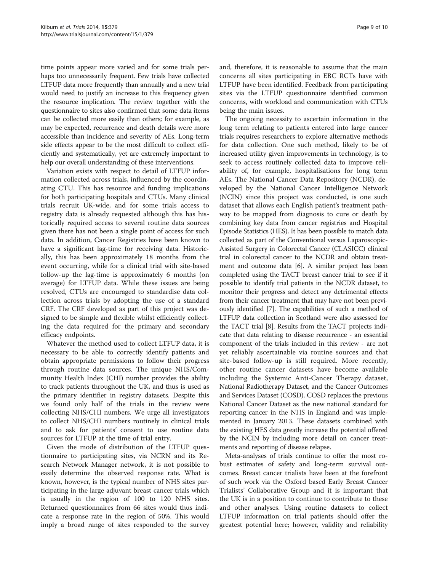time points appear more varied and for some trials perhaps too unnecessarily frequent. Few trials have collected LTFUP data more frequently than annually and a new trial would need to justify an increase to this frequency given the resource implication. The review together with the questionnaire to sites also confirmed that some data items can be collected more easily than others; for example, as may be expected, recurrence and death details were more accessible than incidence and severity of AEs. Long-term side effects appear to be the most difficult to collect efficiently and systematically, yet are extremely important to help our overall understanding of these interventions.

Variation exists with respect to detail of LTFUP information collected across trials, influenced by the coordinating CTU. This has resource and funding implications for both participating hospitals and CTUs. Many clinical trials recruit UK-wide, and for some trials access to registry data is already requested although this has historically required access to several routine data sources given there has not been a single point of access for such data. In addition, Cancer Registries have been known to have a significant lag-time for receiving data. Historically, this has been approximately 18 months from the event occurring, while for a clinical trial with site-based follow-up the lag-time is approximately 6 months (on average) for LTFUP data. While these issues are being resolved, CTUs are encouraged to standardise data collection across trials by adopting the use of a standard CRF. The CRF developed as part of this project was designed to be simple and flexible whilst efficiently collecting the data required for the primary and secondary efficacy endpoints.

Whatever the method used to collect LTFUP data, it is necessary to be able to correctly identify patients and obtain appropriate permissions to follow their progress through routine data sources. The unique NHS/Community Health Index (CHI) number provides the ability to track patients throughout the UK, and thus is used as the primary identifier in registry datasets. Despite this we found only half of the trials in the review were collecting NHS/CHI numbers. We urge all investigators to collect NHS/CHI numbers routinely in clinical trials and to ask for patients' consent to use routine data sources for LTFUP at the time of trial entry.

Given the mode of distribution of the LTFUP questionnaire to participating sites, via NCRN and its Research Network Manager network, it is not possible to easily determine the observed response rate. What is known, however, is the typical number of NHS sites participating in the large adjuvant breast cancer trials which is usually in the region of 100 to 120 NHS sites. Returned questionnaires from 66 sites would thus indicate a response rate in the region of 50%. This would imply a broad range of sites responded to the survey

and, therefore, it is reasonable to assume that the main concerns all sites participating in EBC RCTs have with LTFUP have been identified. Feedback from participating sites via the LTFUP questionnaire identified common concerns, with workload and communication with CTUs being the main issues.

The ongoing necessity to ascertain information in the long term relating to patients entered into large cancer trials requires researchers to explore alternative methods for data collection. One such method, likely to be of increased utility given improvements in technology, is to seek to access routinely collected data to improve reliability of, for example, hospitalisations for long term AEs. The National Cancer Data Repository (NCDR), developed by the National Cancer Intelligence Network (NCIN) since this project was conducted, is one such dataset that allows each English patient's treatment pathway to be mapped from diagnosis to cure or death by combining key data from cancer registries and Hospital Episode Statistics (HES). It has been possible to match data collected as part of the Conventional versus Laparoscopic-Assisted Surgery in Colorectal Cancer (CLASICC) clinical trial in colorectal cancer to the NCDR and obtain treatment and outcome data [[6](#page-9-0)]. A similar project has been completed using the TACT breast cancer trial to see if it possible to identify trial patients in the NCDR dataset, to monitor their progress and detect any detrimental effects from their cancer treatment that may have not been previously identified [\[7](#page-9-0)]. The capabilities of such a method of LTFUP data collection in Scotland were also assessed for the TACT trial [[8\]](#page-9-0). Results from the TACT projects indicate that data relating to disease recurrence - an essential component of the trials included in this review - are not yet reliably ascertainable via routine sources and that site-based follow-up is still required. More recently, other routine cancer datasets have become available including the Systemic Anti-Cancer Therapy dataset, National Radiotherapy Dataset, and the Cancer Outcomes and Services Dataset (COSD). COSD replaces the previous National Cancer Dataset as the new national standard for reporting cancer in the NHS in England and was implemented in January 2013. These datasets combined with the existing HES data greatly increase the potential offered by the NCIN by including more detail on cancer treatments and reporting of disease relapse.

Meta-analyses of trials continue to offer the most robust estimates of safety and long-term survival outcomes. Breast cancer trialists have been at the forefront of such work via the Oxford based Early Breast Cancer Trialists' Collaborative Group and it is important that the UK is in a position to continue to contribute to these and other analyses. Using routine datasets to collect LTFUP information on trial patients should offer the greatest potential here; however, validity and reliability